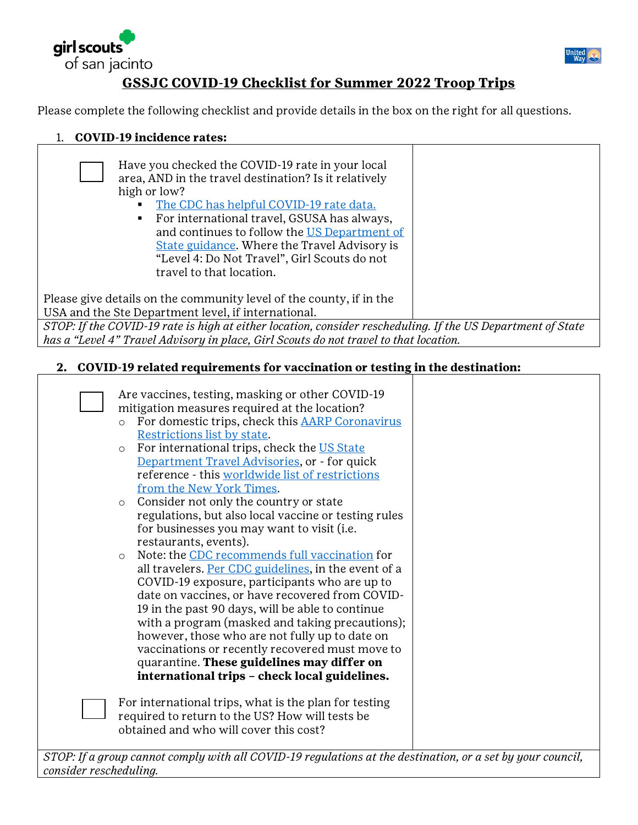



## **GSSJC COVID-19 Checklist for Summer 2022 Troop Trips**

Please complete the following checklist and provide details in the box on the right for all questions.

1. **COVID-19 incidence rates:**

| Have you checked the COVID-19 rate in your local<br>area, AND in the travel destination? Is it relatively<br>high or low?<br>The CDC has helpful COVID-19 rate data.<br>For international travel, GSUSA has always,<br>$\blacksquare$<br>and continues to follow the US Department of<br>State guidance. Where the Travel Advisory is<br>"Level 4: Do Not Travel", Girl Scouts do not<br>travel to that location. |  |  |
|-------------------------------------------------------------------------------------------------------------------------------------------------------------------------------------------------------------------------------------------------------------------------------------------------------------------------------------------------------------------------------------------------------------------|--|--|
| Please give details on the community level of the county, if in the                                                                                                                                                                                                                                                                                                                                               |  |  |
| USA and the Ste Department level, if international.                                                                                                                                                                                                                                                                                                                                                               |  |  |
| STOP: If the COVID-19 rate is high at either location, consider rescheduling. If the US Department of State                                                                                                                                                                                                                                                                                                       |  |  |
| has a "Level 4" Travel Advisory in place, Girl Scouts do not travel to that location.                                                                                                                                                                                                                                                                                                                             |  |  |

#### **2. COVID-19 related requirements for vaccination or testing in the destination:**

| Are vaccines, testing, masking or other COVID-19                                                               |  |
|----------------------------------------------------------------------------------------------------------------|--|
| mitigation measures required at the location?                                                                  |  |
| For domestic trips, check this AARP Coronavirus                                                                |  |
| Restrictions list by state.                                                                                    |  |
| For international trips, check the US State<br>$\circ$                                                         |  |
| Department Travel Advisories, or - for quick                                                                   |  |
| reference - this worldwide list of restrictions                                                                |  |
| from the New York Times.                                                                                       |  |
| Consider not only the country or state<br>$\circ$                                                              |  |
| regulations, but also local vaccine or testing rules                                                           |  |
| for businesses you may want to visit (i.e.                                                                     |  |
| restaurants, events).                                                                                          |  |
| Note: the CDC recommends full vaccination for<br>$\circ$                                                       |  |
| all travelers. Per CDC guidelines, in the event of a                                                           |  |
| COVID-19 exposure, participants who are up to                                                                  |  |
| date on vaccines, or have recovered from COVID-                                                                |  |
| 19 in the past 90 days, will be able to continue                                                               |  |
| with a program (masked and taking precautions);                                                                |  |
| however, those who are not fully up to date on                                                                 |  |
| vaccinations or recently recovered must move to                                                                |  |
| quarantine. These guidelines may differ on                                                                     |  |
| international trips - check local guidelines.                                                                  |  |
|                                                                                                                |  |
| For international trips, what is the plan for testing                                                          |  |
| required to return to the US? How will tests be                                                                |  |
| obtained and who will cover this cost?                                                                         |  |
|                                                                                                                |  |
| $m_{OD}$ , If a group group to complement all COUID 10 requisitions of the destination on a set by your second |  |

*STOP: If a group cannot comply with all COVID-19 regulations at the destination, or a set by your council, consider rescheduling.*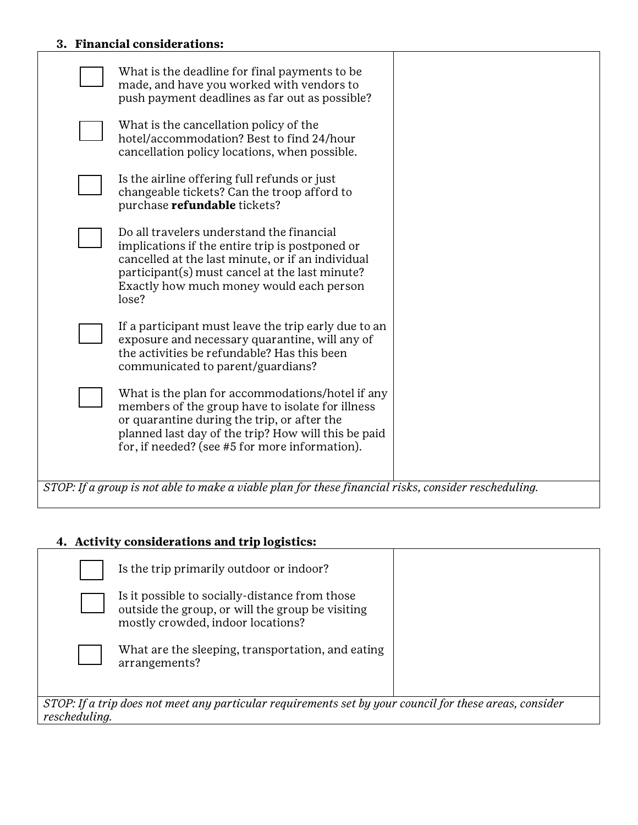## **3. Financial considerations:**

| What is the deadline for final payments to be<br>made, and have you worked with vendors to<br>push payment deadlines as far out as possible?                                                                                                                 |  |
|--------------------------------------------------------------------------------------------------------------------------------------------------------------------------------------------------------------------------------------------------------------|--|
| What is the cancellation policy of the<br>hotel/accommodation? Best to find 24/hour<br>cancellation policy locations, when possible.                                                                                                                         |  |
| Is the airline offering full refunds or just<br>changeable tickets? Can the troop afford to<br>purchase refundable tickets?                                                                                                                                  |  |
| Do all travelers understand the financial<br>implications if the entire trip is postponed or<br>cancelled at the last minute, or if an individual<br>participant(s) must cancel at the last minute?<br>Exactly how much money would each person<br>lose?     |  |
| If a participant must leave the trip early due to an<br>exposure and necessary quarantine, will any of<br>the activities be refundable? Has this been<br>communicated to parent/guardians?                                                                   |  |
| What is the plan for accommodations/hotel if any<br>members of the group have to isolate for illness<br>or quarantine during the trip, or after the<br>planned last day of the trip? How will this be paid<br>for, if needed? (see #5 for more information). |  |
| STOP: If a group is not able to make a viable plan for these financial risks, consider rescheduling.                                                                                                                                                         |  |

# **4. Activity considerations and trip logistics:**

|                                                                                                                          | Is the trip primarily outdoor or indoor?                                                                                                |  |
|--------------------------------------------------------------------------------------------------------------------------|-----------------------------------------------------------------------------------------------------------------------------------------|--|
|                                                                                                                          | Is it possible to socially-distance from those<br>outside the group, or will the group be visiting<br>mostly crowded, indoor locations? |  |
|                                                                                                                          | What are the sleeping, transportation, and eating<br>arrangements?                                                                      |  |
| STOP: If a trip does not meet any particular requirements set by your council for these areas, consider<br>rescheduling. |                                                                                                                                         |  |